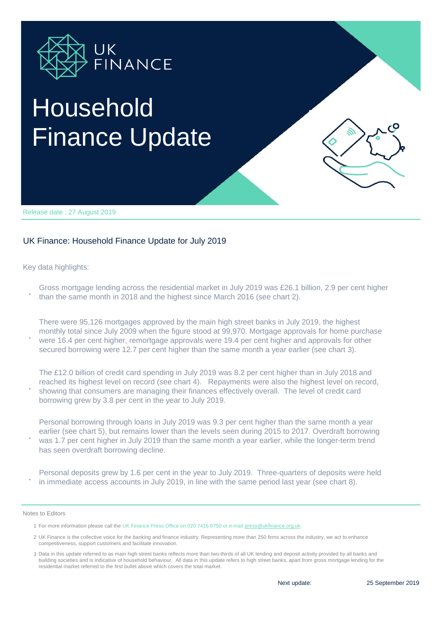

## Household Finance Update

Release date : 27 August 2019

## UK Finance: Household Finance Update for July 2019

Key data highlights:

**.**

**.**

**.**

**.** Gross mortgage lending across the residential market in July 2019 was £26.1 billion, 2.9 per cent higher

than the same month in 2018 and the highest since March 2016 (see chart 2).

There were 95,126 mortgages approved by the main high street banks in July 2019, the highest monthly total since July 2009 when the figure stood at 99,970. Mortgage approvals for home purchase were 16.4 per cent higher, remortgage approvals were 19.4 per cent higher and approvals for other secured borrowing were 12.7 per cent higher than the same month a year earlier (see chart 3).

The £12.0 billion of credit card spending in July 2019 was 8.2 per cent higher than in July 2018 and reached its highest level on record (see chart 4). Repayments were also the highest level on record, showing that consumers are managing their finances effectively overall. The level of credit card borrowing grew by 3.8 per cent in the year to July 2019.

Personal borrowing through loans in July 2019 was 9.3 per cent higher than the same month a year earlier (see chart 5), but remains lower than the levels seen during 2015 to 2017. Overdraft borrowing was 1.7 per cent higher in July 2019 than the same month a year earlier, while the longer-term trend has seen overdraft borrowing decline.

**.** Personal deposits grew by 1.6 per cent in the year to July 2019. Three-quarters of deposits were held in immediate access accounts in July 2019, in line with the same period last year (see chart 8).

Notes to Editors

1 For more information please call the UK Finance Press Office on 020 7416 6750 or e-mail press@ukfinance.org.uk.

2 UK Finance is the collective voice for the banking and finance industry. Representing more than 250 firms across the industry, we act to enhance competitiveness, support customers and facilitate innovation.

3 Data in this update referred to as main high street banks reflects more than two-thirds of all UK lending and deposit activity provided by all banks and building societies and is indicative of household behaviour. All data in this update refers to high street banks, apart from gross mortgage lending for the residential market referred to the first bullet above which covers the total market.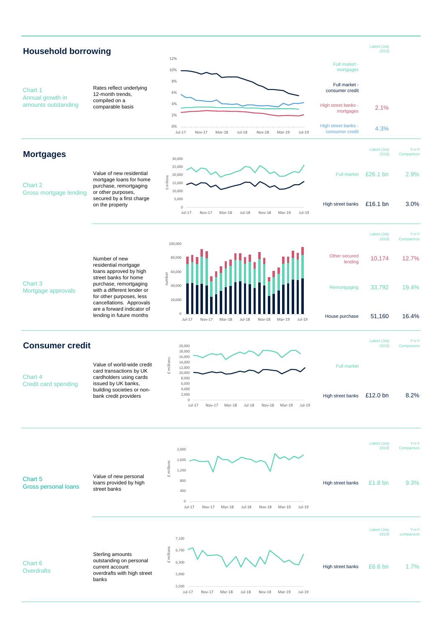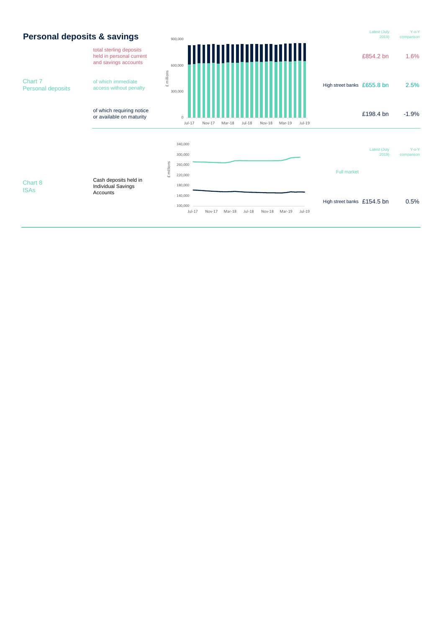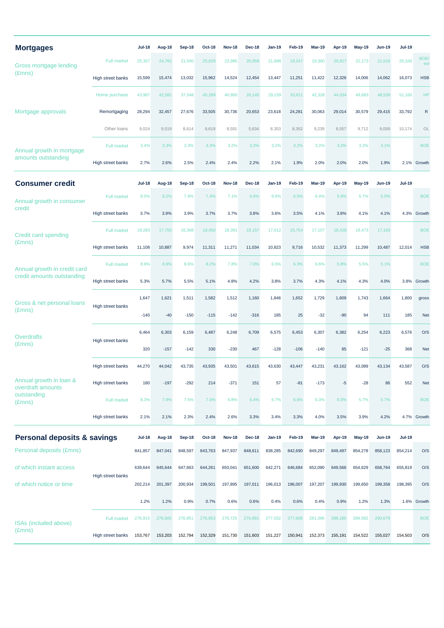| <b>Mortgages</b>                                           |                    | <b>Jul-18</b> | Aug-18  | Sep-18  | <b>Oct-18</b> | <b>Nov-18</b> | <b>Dec-18</b> | Jan-19        | Feb-19  | <b>Mar-19</b> | Apr-19  | <b>May-19</b> | Jun-19        | <b>Jul-19</b> |             |
|------------------------------------------------------------|--------------------|---------------|---------|---------|---------------|---------------|---------------|---------------|---------|---------------|---------|---------------|---------------|---------------|-------------|
| Gross mortgage lending<br>$(\text{Emns})$                  | <b>Full market</b> | 25,357        | 24,781  | 21,500  | 25,829        | 23,985        | 20,959        | 21,988        | 19,247  | 19,360        | 20,817  | 22,173        | 21,516        | 26,100        | BOE/<br>est |
|                                                            | High street banks  | 15,599        | 15,474  | 13,032  | 15,962        | 14,524        | 12,454        | 13,447        | 11,251  | 11,422        | 12,326  | 14,006        | 14,062        | 16,073        | <b>HSB</b>  |
| Mortgage approvals                                         | Home purchase      | 43,967        | 42,581  | 37,348  | 45,289        | 40,800        | 26,145        | 29,159        | 33,621  | 42,328        | 44,034  | 49,683        | 48,539        | 51,160        | <b>HP</b>   |
|                                                            | Remortgaging       | 28,294        | 32,457  | 27,676  | 33,505        | 30,736        | 20,653        | 23,618        | 24,281  | 30,063        | 29,014  | 30,579        | 29,415        | 33,792        | R           |
|                                                            | Other loans        | 9,024         | 9,519   | 8,614   | 9,619         | 8,591         | 5,634         | 8,353         | 8,352   | 9,239         | 8,557   | 9,712         | 9,059         | 10,174        | OL          |
| Annual growth in mortgage<br>amounts outstanding           | <b>Full market</b> | 3.4%          | 3.3%    | 3.3%    | 3.3%          | 3.2%          | 3.2%          | 3.2%          | 3.2%    | 3.2%          | 3.2%    | 3.2%          | 3.1%          |               | <b>BOE</b>  |
|                                                            | High street banks  | 2.7%          | 2.6%    | 2.5%    | 2.4%          | 2.4%          | 2.2%          | 2.1%          | 1.9%    | 2.0%          | 2.0%    | 2.0%          | 1.9%          |               | 2.1% Growth |
| <b>Consumer credit</b>                                     |                    | <b>Jul-18</b> | Aug-18  | Sep-18  | <b>Oct-18</b> | <b>Nov-18</b> | <b>Dec-18</b> | Jan-19        | Feb-19  | <b>Mar-19</b> | Apr-19  | <b>May-19</b> | Jun-19        | <b>Jul-19</b> |             |
| Annual growth in consumer<br>credit                        | <b>Full market</b> | 8.5%          | 8.2%    | 7.9%    | 7.4%          | 7.1%          | 6.6%          | 6.6%          | 6.5%    | 6.4%          | 5.9%    | 5.7%          | 5.5%          |               | <b>BOE</b>  |
|                                                            | High street banks  | 3.7%          | 3.9%    | 3.9%    | 3.7%          | 3.7%          | 3.8%          | 3.6%          | 3.5%    | 4.1%          | 3.8%    | 4.1%          | 4.1%          | 4.3%          | Growth      |
| <b>Credit card spending</b><br>$(\text{Emns})$             | <b>Full market</b> | 18,283        | 17,755  | 16,368  | 18,450        | 18,391        | 18,157        | 17,612        | 15,754  | 17,107        | 18,428  | 18,473        | 17,193        |               | <b>BOE</b>  |
|                                                            | High street banks  | 11,108        | 10,887  | 9,974   | 11,311        | 11,271        | 11,034        | 10,823        | 9,716   | 10,532        | 11,373  | 11,299        | 10,487        | 12,014        | <b>HSB</b>  |
| Annual growth in credit card<br>credit amounts outstanding | <b>Full market</b> | 8.9%          | 8.9%    | 8.6%    | 8.2%          | 7.8%          | 7.0%          | 6.5%          | 6.3%    | 6.6%          | 5.8%    | 5.5%          | 5.1%          |               | <b>BOE</b>  |
|                                                            | High street banks  | 5.3%          | 5.7%    | 5.5%    | 5.1%          | 4.8%          | 4.2%          | 3.8%          | 3.7%    | 4.3%          | 4.1%    | 4.3%          | 4.0%          | 3.8%          | Growth      |
| Gross & net personal loans<br>$(\text{Emns})$              | High street banks  | 1,647         | 1,621   | 1,511   | 1,582         | 1,512         | 1,160         | 1,846         | 1,652   | 1,729         | 1,609   | 1,743         | 1,664         | 1,800         | gross       |
|                                                            |                    | $-140$        | $-40$   | $-150$  | $-115$        | $-142$        | $-316$        | 185           | 25      | $-32$         | $-90$   | 94            | 111           | 185           | <b>Net</b>  |
| <b>Overdrafts</b><br>$(\text{Emns})$                       | High street banks  | 6,464         | 6,303   | 6,159   | 6,487         | 6,248         | 6,709         | 6,575         | 6,453   | 6,307         | 6,382   | 6,254         | 6,223         | 6,576         | O/S         |
|                                                            |                    | 320           | $-157$  | $-142$  | 330           | $-230$        | 467           | $-128$        | $-106$  | $-140$        | 85      | $-121$        | $-25$         | 368           | <b>Net</b>  |
|                                                            | High street banks  | 44,270        | 44,042  | 43,735  | 43,935        | 43,501        | 43,615        | 43,630        | 43,447  | 43,231        | 43,162  | 43,089        | 43,134        | 43,587        | O/S         |
| Annual growth in loan &<br>overdraft amounts               | High street banks  | 180           | $-197$  | $-292$  | 214           | $-371$        | 151           | 57            | $-81$   | $-173$        | $-5$    | $-28$         | 86            | 552           | <b>Net</b>  |
| outstanding<br>$(\text{Emns})$                             | <b>Full market</b> | 8.3%          | 7.9%    | 7.5%    | 7.0%          | 6.8%          | 6.4%          | 6.7%          | 6.6%    | 6.3%          | 6.0%    | 5.7%          | 5.7%          |               | <b>BOE</b>  |
|                                                            | High street banks  | 2.1%          | 2.1%    | 2.3%    | 2.4%          | 2.6%          | 3.3%          | 3.4%          | 3.3%    | 4.0%          | 3.5%    | 3.9%          | 4.2%          |               | 4.7% Growth |
| <b>Personal deposits &amp; savings</b>                     |                    | <b>Jul-18</b> | Aug-18  | Sep-18  | <b>Oct-18</b> | <b>Nov-18</b> | <b>Dec-18</b> | <b>Jan-19</b> | Feb-19  | Mar-19        | Apr-19  | <b>May-19</b> | <b>Jun-19</b> | <b>Jul-19</b> |             |
| <b>Personal deposits (£mns)</b>                            |                    | 841,857       | 847,041 | 848,597 | 843,763       | 847,937       | 848,611       | 838,285       | 842,690 | 849,297       | 849,497 | 854,278       | 858,123       | 854,214       | O/S         |
| of which instant access                                    | High street banks  | 639,644       | 645,644 | 647,663 | 644,261       | 650,041       | 651,600       | 642,271       | 646,684 | 652,090       | 649,566 | 654,629       | 658,764       | 655,819       | O/S         |
| of which notice or time                                    |                    | 202,214       | 201,397 | 200,934 | 199,501       | 197,895       | 197,011       | 196,013       | 196,007 | 197,207       | 199,930 | 199,650       | 199,358       | 198,395       | O/S         |
|                                                            |                    | 1.2%          | 1.2%    | 0.9%    | 0.7%          | 0.6%          | 0.6%          | 0.4%          | 0.6%    | 0.4%          | 0.9%    | 1.2%          | 1.3%          | 1.6%          | Growth      |
| ISAs (included above)<br>$(\text{Emns})$                   | Full market        | 276,915       | 276,605 | 276,851 | 276,953       | 276,725       | 276,881       | 277,032       | 277,608 | 281,396       | 288,185 | 289,582       | 290,679       |               | <b>BOE</b>  |
|                                                            | High street banks  | 153,767       | 153,203 | 152,794 | 152,329       | 151,730       | 151,603       | 151,227       | 150,941 | 152,373       | 155,191 | 154,522       | 155,027       | 154,503       | O/S         |